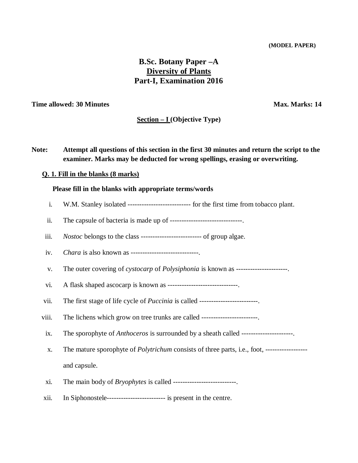# **B.Sc. Botany Paper –A Diversity of Plants Part-I, Examination 2016**

#### **Time** allowed: 30 Minutes **Max. Marks: 14** Max. Marks: 14

#### **Section – I (Objective Type)**

**Note: Attempt all questions of this section in the first 30 minutes and return the script to the examiner. Marks may be deducted for wrong spellings, erasing or overwriting.** 

#### **Q. 1. Fill in the blanks (8 marks)**

#### **Please fill in the blanks with appropriate terms/words**

- i. W.M. Stanley isolated --------------------------- for the first time from tobacco plant.
- ii. The capsule of bacteria is made up of ----------------------------------.
- iii. *Nostoc* belongs to the class -------------------------- of group algae.
- iv. *Chara* is also known as -----------------------------.
- v. The outer covering of *cystocarp* of *Polysiphonia* is known as ----------------------.
- vi. A flask shaped ascocarp is known as ----------------------------------
- vii. The first stage of life cycle of *Puccinia* is called -------------------------.
- viii. The lichens which grow on tree trunks are called ------------------------.
- ix. The sporophyte of *Anthoceros* is surrounded by a sheath called ----------------------.
- x. The mature sporophyte of *Polytrichum* consists of three parts, i.e., foot, ----------------- and capsule.
- xi. The main body of *Bryophytes* is called ---------------------------.
- xii. In Siphonostele------------------------- is present in the centre.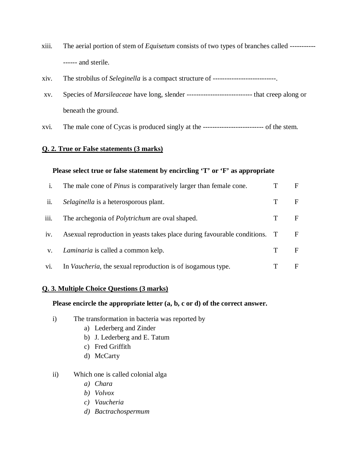- xiii. The aerial portion of stem of *Equisetum* consists of two types of branches called ----------- ------ and sterile.
- xiv. The strobilus of *Seleginella* is a compact structure of ---------------------------.
- xv. Species of *Marsileaceae* have long, slender ---------------------------- that creep along or beneath the ground.
- xvi. The male cone of Cycas is produced singly at the -------------------------- of the stem.

#### **Please select true or false statement by encircling 'T' or 'F' as appropriate**

|      | The male cone of <i>Pinus</i> is comparatively larger than female cone.     |   | F  |
|------|-----------------------------------------------------------------------------|---|----|
| ii.  | Selaginella is a heterosporous plant.                                       | T | F  |
| iii. | The archegonia of <i>Polytrichum</i> are oval shaped.                       | T | F. |
| iv.  | As exual reproduction in yeasts takes place during favourable conditions. T |   | F  |
| V.   | <i>Laminaria</i> is called a common kelp.                                   | т | F  |
| vi.  | In <i>Vaucheria</i> , the sexual reproduction is of isogamous type.         |   | F  |

### **Q. 3. Multiple Choice Questions (3 marks)**

#### **Please encircle the appropriate letter (a, b, c or d) of the correct answer.**

- i) The transformation in bacteria was reported by
	- a) Lederberg and Zinder
	- b) J. Lederberg and E. Tatum
	- c) Fred Griffith
	- d) McCarty
- ii) Which one is called colonial alga
	- *a) Chara*
	- *b) Volvox*
	- *c) Vaucheria*
	- *d) Bactrachospermum*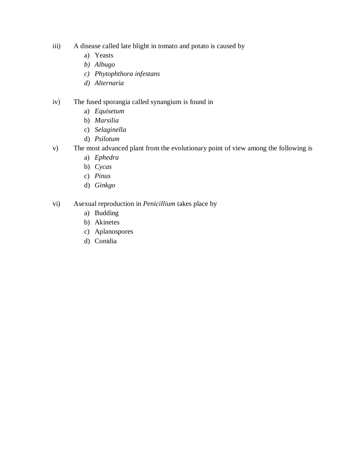- iii) A disease called late blight in tomato and potato is caused by
	- a) Yeasts
	- *b) Albugo*
	- *c) Phytophthora infestans*
	- *d) Alternaria*

### iv) The fused sporangia called synangium is found in

- a) *Equisetum*
- b) *Marsilia*
- c) *Selaginella*
- d) *Psilotum*
- v) The most advanced plant from the evolutionary point of view among the following is
	- a) *Ephedra*
	- b) *Cycas*
	- c) *Pinus*
	- d) *Ginkgo*
- vi) Asexual reproduction in *Penicillium* takes place by
	- a) Budding
	- b) Akinetes
	- c) Aplanospores
	- d) Conidia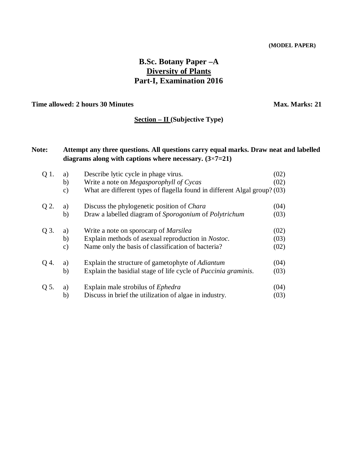# **B.Sc. Botany Paper –A Diversity of Plants Part-I, Examination 2016**

### **Time allowed: 2 hours 30 Minutes <b>Max. Marks: 21**

### **Section – II (Subjective Type)**

## **Note: Attempt any three questions. All questions carry equal marks. Draw neat and labelled diagrams along with captions where necessary. (3**×**7=21)**

| Q 1. | a)            | Describe lytic cycle in phage virus.                                      | (02) |
|------|---------------|---------------------------------------------------------------------------|------|
|      | b)            | Write a note on <i>Megasporophyll of Cycas</i>                            | (02) |
|      | c)            | What are different types of flagella found in different Algal group? (03) |      |
| Q 2. | a)            | Discuss the phylogenetic position of <i>Chara</i>                         | (04) |
|      | b)            | Draw a labelled diagram of Sporogonium of Polytrichum                     | (03) |
| Q 3. | a)            | Write a note on sporocarp of <i>Marsilea</i>                              | (02) |
|      | b)            | Explain methods of asexual reproduction in <i>Nostoc</i> .                | (03) |
|      | $\mathbf{c})$ | Name only the basis of classification of bacteria?                        | (02) |
| Q 4. | a)            | Explain the structure of gametophyte of <i>Adiantum</i>                   | (04) |
|      | b)            | Explain the basidial stage of life cycle of <i>Puccinia graminis</i> .    | (03) |
| Q 5. | a)            | Explain male strobilus of <i>Ephedra</i>                                  | (04) |
|      | b)            | Discuss in brief the utilization of algae in industry.                    | (03) |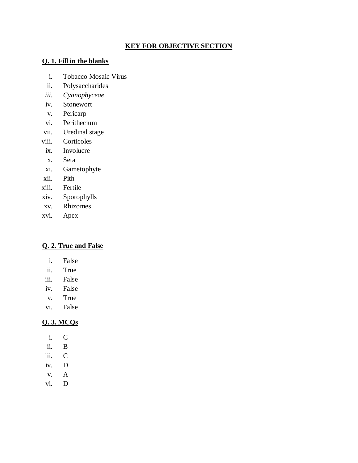## **KEY FOR OBJECTIVE SECTION**

### **Q. 1. Fill in the blanks**

- i. Tobacco Mosaic Virus
- ii. Polysaccharides
- *iii. Cyanophyceae*
- iv. Stonewort
- v. Pericarp
- vi. Perithecium
- vii. Uredinal stage
- viii. Corticoles
- ix. Involucre
- x. Seta
- xi. Gametophyte
- xii. Pith
- xiii. Fertile
- xiv. Sporophylls
- xv. Rhizomes
- xvi. Apex

## **Q. 2. True and False**

- i. False
- ii. True
- iii. False
- iv. False
- v. True
- vi. False

## **Q. 3. MCQs**

- i. C
- ii. B
- iii. C
- iv. D
- v. A
- vi. D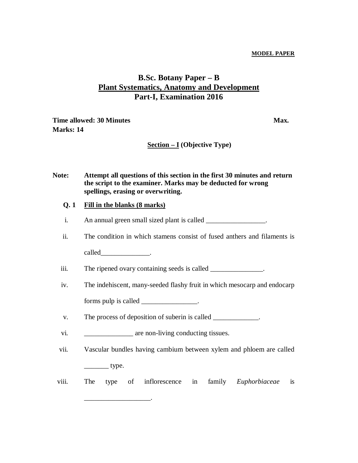# **B.Sc. Botany Paper – B Plant Systematics, Anatomy and Development Part-I, Examination 2016**

**Time** allowed: 30 Minutes **Max. Max. Max. Marks: 14**

**Section – I (Objective Type)**

| <b>Note:</b> | Attempt all questions of this section in the first 30 minutes and return |
|--------------|--------------------------------------------------------------------------|
|              | the script to the examiner. Marks may be deducted for wrong              |
|              | spellings, erasing or overwriting.                                       |
|              |                                                                          |

#### **Q. 1 Fill in the blanks (8 marks)**

| An annual green small sized plant is called |  |
|---------------------------------------------|--|
|                                             |  |

ii. The condition in which stamens consist of fused anthers and filaments is

called the called the contract of the contract of the contract of the contract of the contract of the contract of the contract of the contract of the contract of the contract of the contract of the contract of the contract

iii. The ripened ovary containing seeds is called \_\_\_\_\_\_\_\_\_\_\_\_\_\_.

iv. The indehiscent, many-seeded flashy fruit in which mesocarp and endocarp

forms pulp is called \_\_\_\_\_\_\_\_\_\_\_\_\_\_\_.

v. The process of deposition of suberin is called \_\_\_\_\_\_\_\_\_\_\_\_.

vi. \_\_\_\_\_\_\_\_\_\_\_\_\_\_ are non-living conducting tissues.

 $\mathcal{L}$ 

- vii. Vascular bundles having cambium between xylem and phloem are called  $\rule{1em}{0.15mm}$  type.
- viii. The type of inflorescence in family *Euphorbiaceae* is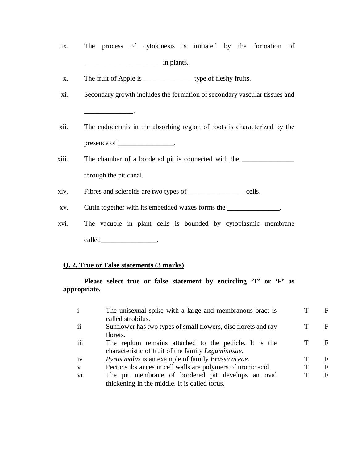- ix. The process of cytokinesis is initiated by the formation of  $\frac{1}{\sqrt{2}}$  in plants.
- x. The fruit of Apple is \_\_\_\_\_\_\_\_\_\_\_\_\_\_ type of fleshy fruits.
- xi. Secondary growth includes the formation of secondary vascular tissues and  $\overline{\phantom{a}}$  . The set of  $\overline{\phantom{a}}$  ,  $\overline{\phantom{a}}$  ,  $\overline{\phantom{a}}$  ,  $\overline{\phantom{a}}$  ,  $\overline{\phantom{a}}$  ,  $\overline{\phantom{a}}$  ,  $\overline{\phantom{a}}$  ,  $\overline{\phantom{a}}$  ,  $\overline{\phantom{a}}$  ,  $\overline{\phantom{a}}$  ,  $\overline{\phantom{a}}$  ,  $\overline{\phantom{a}}$  ,  $\overline{\phantom{a}}$  ,  $\overline{\phantom{a}}$  ,
- xii. The endodermis in the absorbing region of roots is characterized by the presence of  $\qquad \qquad$
- xiii. The chamber of a bordered pit is connected with the \_\_\_\_\_\_\_\_\_\_\_\_\_\_\_\_\_\_\_\_\_\_\_ through the pit canal.
- xiv. Fibres and sclereids are two types of \_\_\_\_\_\_\_\_\_\_\_\_\_\_\_\_ cells.
- xv. Cutin together with its embedded waxes forms the \_\_\_\_\_\_\_\_\_\_\_\_\_\_.
- xvi. The vacuole in plant cells is bounded by cytoplasmic membrane called\_\_\_\_\_\_\_\_\_\_\_\_\_\_\_\_\_\_\_\_\_\_\_.

### **Please select true or false statement by encircling 'T' or 'F' as appropriate.**

| $\mathbf{i}$  | The unisexual spike with a large and membranous bract is       |   | F |
|---------------|----------------------------------------------------------------|---|---|
|               | called strobilus.                                              |   |   |
| $\mathbf{ii}$ | Sunflower has two types of small flowers, disc florets and ray |   | F |
|               | florets.                                                       |   |   |
| iii           | The replum remains attached to the pedicle. It is the          |   | F |
|               | characteristic of fruit of the family <i>Leguminosae</i> .     |   |   |
| iv            | <i>Pyrus malus is an example of family Brassicaceae.</i>       |   | F |
| $\mathbf{V}$  | Pectic substances in cell walls are polymers of uronic acid.   |   | F |
| vi            | The pit membrane of bordered pit develops an oval              | Т | F |
|               | thickening in the middle. It is called torus.                  |   |   |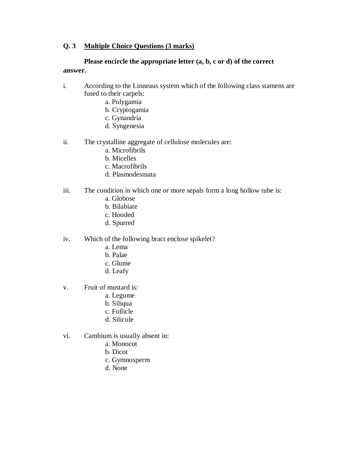### **Q. 3 Multiple Choice Questions (3 marks)**

### **Please encircle the appropriate letter (a, b, c or d) of the correct answer.**

- i. According to the Linneaus system which of the following class stamens are fused to their carpels:
	- a. Polygamia
	- b. Cryptogamia
	- c. Gynandria
	- d. Syngenesia
- ii. The crystalline aggregate of cellulose molecules are:
	- a. Microfibrils
	- b. Micelles
	- c. Macrofibrils
	- d. Plasmodesmata
- iii. The condition in which one or more sepals form a long hollow tube is:
	- a. Globose
	- b. Bilabiate
	- c. Hooded
	- d. Spurred
- iv. Which of the following bract enclose spikelet?
	- a. Lema
	- b. Palae
	- c. Glume
	- d. Leafy
- v. Fruit of mustard is:
	- a. Legume
	- b. Siliqua
	- c. Follicle
	- d. Silicule
- vi. Cambium is usually absent in:
	- a. Monocot
	- b. Dicot
	- c. Gymnosperm
	- d. None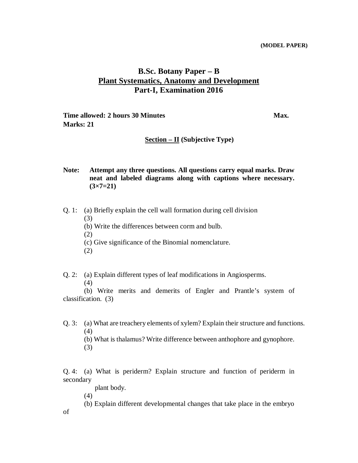## **B.Sc. Botany Paper – B Plant Systematics, Anatomy and Development Part-I, Examination 2016**

**Time allowed: 2 hours 30 Minutes**  Max. **Marks: 21**

#### **Section – II (Subjective Type)**

**Note: Attempt any three questions. All questions carry equal marks. Draw neat and labeled diagrams along with captions where necessary. (3×7=21)**

Q. 1: (a) Briefly explain the cell wall formation during cell division (3)

- (b) Write the differences between corm and bulb.
- (2)
- (c) Give significance of the Binomial nomenclature.
- (2)

Q. 2: (a) Explain different types of leaf modifications in Angiosperms.

(4)

(b) Write merits and demerits of Engler and Prantle's system of classification. (3)

Q. 3: (a) What are treachery elements of xylem? Explain their structure and functions. (4)

(b) What is thalamus? Write difference between anthophore and gynophore.

(3)

Q. 4: (a) What is periderm? Explain structure and function of periderm in secondary

plant body.

(4)

of

(b) Explain different developmental changes that take place in the embryo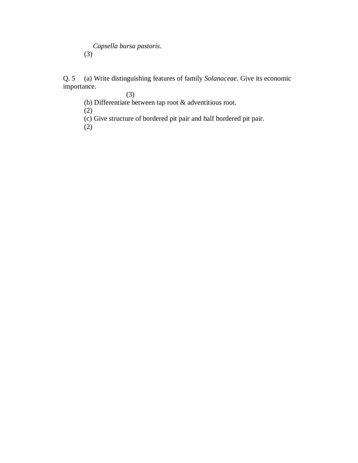*Capsella bursa pastoris*. (3)

Q. 5 (a) Write distinguishing features of family *Solanaceae*. Give its economic importance.

(3)

(b) Differentiate between tap root & adventitious root.

(2)

(c) Give structure of bordered pit pair and half bordered pit pair.

(2)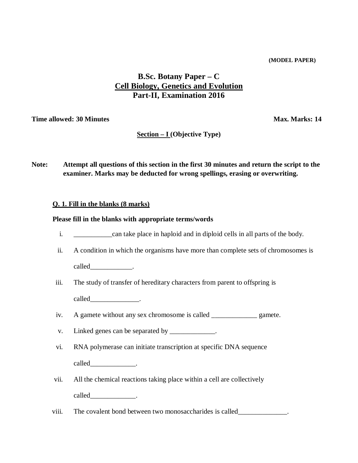# **B.Sc. Botany Paper – C Cell Biology, Genetics and Evolution Part-II, Examination 2016**

**Time allowed: 30 Minutes**  Max. Marks: 14

### **Section – I (Objective Type)**

**Note: Attempt all questions of this section in the first 30 minutes and return the script to the examiner. Marks may be deducted for wrong spellings, erasing or overwriting.** 

### **Q. 1. Fill in the blanks (8 marks)**

#### **Please fill in the blanks with appropriate terms/words**

- i. \_\_\_\_\_\_\_\_\_\_\_can take place in haploid and in diploid cells in all parts of the body.
- ii. A condition in which the organisms have more than complete sets of chromosomes is called the called the contract of the called the contract of the contract of the contract of the contract of the contract of the contract of the contract of the contract of the contract of the contract of the contract of t
- iii. The study of transfer of hereditary characters from parent to offspring is called\_\_\_\_\_\_\_\_\_\_\_\_\_\_.
- iv. A gamete without any sex chromosome is called \_\_\_\_\_\_\_\_\_\_\_\_\_ gamete.
- v. Linked genes can be separated by \_\_\_\_\_\_\_\_\_\_\_\_\_.
- vi. RNA polymerase can initiate transcription at specific DNA sequence called\_\_\_\_\_\_\_\_\_\_\_\_\_\_\_\_\_\_.
- vii. All the chemical reactions taking place within a cell are collectively called \_\_\_\_\_\_\_\_\_\_\_\_\_.
- viii. The covalent bond between two monosaccharides is called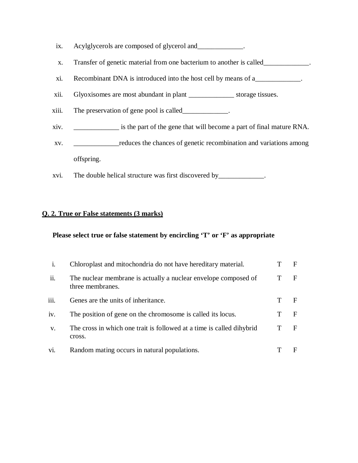- ix. Acylglycerols are composed of glycerol and \_\_\_\_\_\_\_\_\_\_.
- x. Transfer of genetic material from one bacterium to another is called\_\_\_\_\_\_\_\_\_\_\_\_\_.
- xi. Recombinant DNA is introduced into the host cell by means of a\_\_\_\_\_\_\_\_\_\_\_\_\_.
- xii. Glyoxisomes are most abundant in plant \_\_\_\_\_\_\_\_\_\_\_\_\_ storage tissues.
- xiii. The preservation of gene pool is called\_\_\_\_\_\_\_\_\_\_\_\_\_.
- xiv. \_\_\_\_\_\_\_\_\_\_\_\_\_ is the part of the gene that will become a part of final mature RNA.
- xv. \_\_\_\_\_\_\_\_\_\_\_\_\_reduces the chances of genetic recombination and variations among offspring.
- xvi. The double helical structure was first discovered by\_\_\_\_\_\_\_\_\_\_\_\_\_.

### **Please select true or false statement by encircling 'T' or 'F' as appropriate**

| 1.            | Chloroplast and mitochondria do not have hereditary material.                       | F |
|---------------|-------------------------------------------------------------------------------------|---|
| ii.           | The nuclear membrane is actually a nuclear envelope composed of<br>three membranes. | F |
| iii.          | Genes are the units of inheritance.                                                 |   |
| iv.           | The position of gene on the chromosome is called its locus.                         | E |
| $V_{\bullet}$ | The cross in which one trait is followed at a time is called dihybrid<br>cross.     | E |
| V1.           | Random mating occurs in natural populations.                                        |   |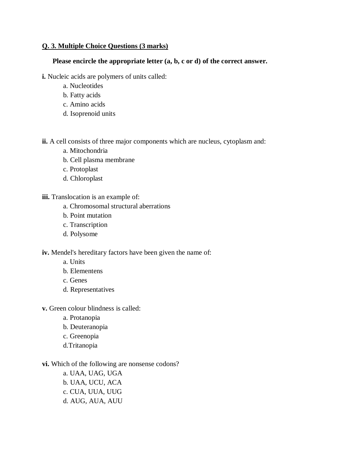### **Q. 3. Multiple Choice Questions (3 marks)**

#### **Please encircle the appropriate letter (a, b, c or d) of the correct answer.**

- **i.** Nucleic acids are polymers of units called:
	- a. Nucleotides
	- b. Fatty acids
	- c. Amino acids
	- d. Isoprenoid units

**ii.** A cell consists of three major components which are nucleus, cytoplasm and:

- a. Mitochondria
- b. Cell plasma membrane
- c. Protoplast
- d. Chloroplast

**iii.** Translocation is an example of:

- a. Chromosomal structural aberrations
- b. Point mutation
- c. Transcription
- d. Polysome

**iv.** Mendel's hereditary factors have been given the name of:

- a. Units
- b. Elementens
- c. Genes
- d. Representatives
- **v.** Green colour blindness is called:
	- a. Protanopia
	- b. Deuteranopia
	- c. Greenopia
	- d.Tritanopia
- **vi.** Which of the following are nonsense codons?
	- a. UAA, UAG, UGA b. UAA, UCU, ACA c. CUA, UUA, UUG d. AUG, AUA, AUU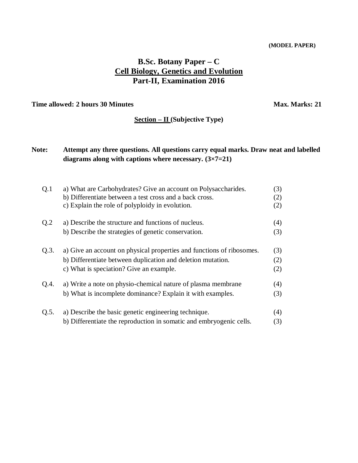# **B.Sc. Botany Paper – C Cell Biology, Genetics and Evolution Part-II, Examination 2016**

**Time allowed: 2 hours 30 Minutes**  Max. Marks: 21

### **Section – II (Subjective Type)**

## **Note: Attempt any three questions. All questions carry equal marks. Draw neat and labelled diagrams along with captions where necessary. (3×7=21)**

| Q.1  | a) What are Carbohydrates? Give an account on Polysaccharides.        | (3) |
|------|-----------------------------------------------------------------------|-----|
|      | b) Differentiate between a test cross and a back cross.               | (2) |
|      | c) Explain the role of polyploidy in evolution.                       | (2) |
| Q.2  | a) Describe the structure and functions of nucleus.                   | (4) |
|      | b) Describe the strategies of genetic conservation.                   | (3) |
| Q.3. | a) Give an account on physical properties and functions of ribosomes. | (3) |
|      | b) Differentiate between duplication and deletion mutation.           | (2) |
|      | c) What is speciation? Give an example.                               | (2) |
| Q.4. | a) Write a note on physio-chemical nature of plasma membrane          | (4) |
|      | b) What is incomplete dominance? Explain it with examples.            | (3) |
| Q.5. | a) Describe the basic genetic engineering technique.                  | (4) |
|      | b) Differentiate the reproduction in somatic and embryogenic cells.   |     |
|      |                                                                       | (3) |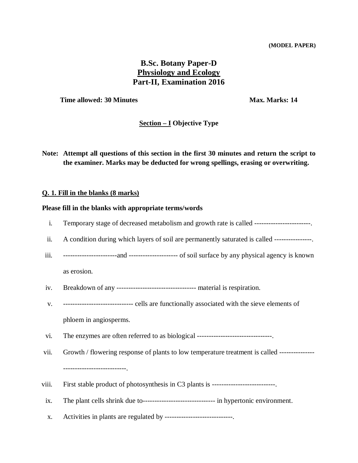# **B.Sc. Botany Paper-D Physiology and Ecology Part-II, Examination 2016**

**Time allowed: 30 Minutes**  Max. Marks: 14

## **Section – I Objective Type**

**Note: Attempt all questions of this section in the first 30 minutes and return the script to the examiner. Marks may be deducted for wrong spellings, erasing or overwriting.**

#### **Q. 1. Fill in the blanks (8 marks)**

### **Please fill in the blanks with appropriate terms/words**

| i.    | Temporary stage of decreased metabolism and growth rate is called ------------------------    |
|-------|-----------------------------------------------------------------------------------------------|
| ii.   | A condition during which layers of soil are permanently saturated is called ----------------  |
| iii.  |                                                                                               |
|       | as erosion.                                                                                   |
| iv.   |                                                                                               |
| V.    | -------------------------------- cells are functionally associated with the sieve elements of |
|       | phloem in angiosperms.                                                                        |
| vi.   | The enzymes are often referred to as biological --------------------------------              |
| vii.  | Growth / flowering response of plants to low temperature treatment is called ---------------  |
|       | ----------------------------                                                                  |
| viii. | First stable product of photosynthesis in C3 plants is --------------------------             |
| ix.   | The plant cells shrink due to------------------------------- in hypertonic environment.       |
| X.    | Activities in plants are regulated by -----------------------------                           |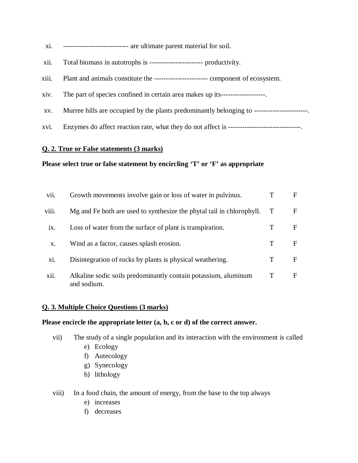- xi. ---------------------------- are ultimate parent material for soil.
- xii. Total biomass in autotrophs is ----------------------- productivity.
- xiii. Plant and animals constitute the ----------------------- component of ecosystem.
- xiv. The part of species confined in certain area makes up its-------------------.
- xv. Murree hills are occupied by the plants predominantly belonging to -----------------------.
- xvi. Enzymes do affect reaction rate, what they do not affect is -------------------------------.

#### **Please select true or false statement by encircling 'T' or 'F' as appropriate**

| vii.                  | Growth movements involve gain or loss of water in pulvinus.                   |   | F |
|-----------------------|-------------------------------------------------------------------------------|---|---|
| viii.                 | Mg and Fe both are used to synthesize the phytal tail in chlorophyll.         |   | F |
| $\overline{1}X$ .     | Loss of water from the surface of plant is transpiration.                     |   | F |
| X.                    | Wind as a factor, causes splash erosion.                                      | T | F |
| X1.                   | Disintegration of rocks by plants is physical weathering.                     |   | F |
| $\cdot \cdot$<br>X11. | Alkaline sodic soils predominantly contain potassium, aluminum<br>and sodium. | Т | F |

#### **Q. 3. Multiple Choice Questions (3 marks)**

#### **Please encircle the appropriate letter (a, b, c or d) of the correct answer.**

- vii) The study of a single population and its interaction with the environment is called
	- e) Ecology
	- f) Autecology
	- g) Synecology
	- h) lithology
- viii) In a food chain, the amount of energy, from the base to the top always
	- e) increases
	- f) decreases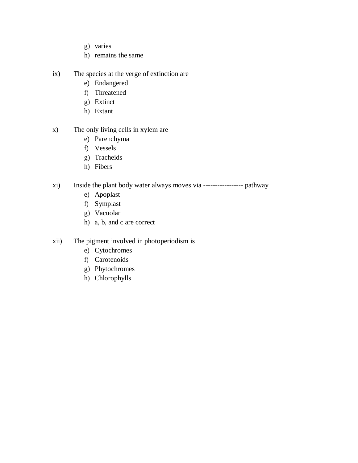- g) varies
- h) remains the same
- ix) The species at the verge of extinction are
	- e) Endangered
	- f) Threatened
	- g) Extinct
	- h) Extant
- x) The only living cells in xylem are
	- e) Parenchyma
	- f) Vessels
	- g) Tracheids
	- h) Fibers
- xi) Inside the plant body water always moves via ----------------- pathway
	- e) Apoplast
	- f) Symplast
	- g) Vacuolar
	- h) a, b, and c are correct
- xii) The pigment involved in photoperiodism is
	- e) Cytochromes
	- f) Carotenoids
	- g) Phytochromes
	- h) Chlorophylls